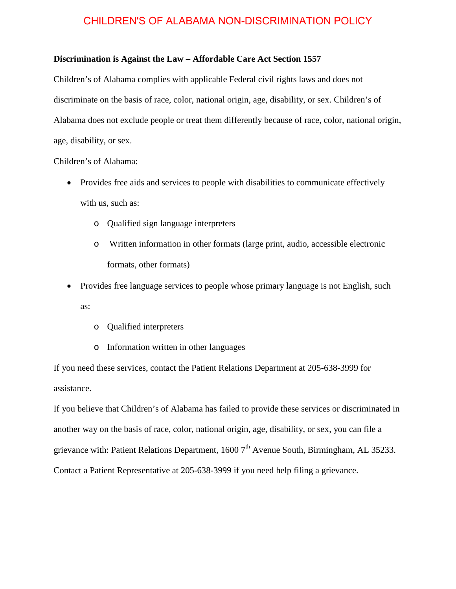## **Discrimination is Against the Law – Affordable Care Act Section 1557**

Children's of Alabama complies with applicable Federal civil rights laws and does not discriminate on the basis of race, color, national origin, age, disability, or sex. Children's of Alabama does not exclude people or treat them differently because of race, color, national origin, age, disability, or sex.

Children's of Alabama:

- Provides free aids and services to people with disabilities to communicate effectively with us, such as:
	- o Qualified sign language interpreters
	- o Written information in other formats (large print, audio, accessible electronic formats, other formats)
- Provides free language services to people whose primary language is not English, such as:
	- o Qualified interpreters
	- o Information written in other languages

If you need these services, contact the Patient Relations Department at 205-638-3999 for assistance.

If you believe that Children's of Alabama has failed to provide these services or discriminated in another way on the basis of race, color, national origin, age, disability, or sex, you can file a grievance with: Patient Relations Department,  $16007<sup>th</sup>$  Avenue South, Birmingham, AL 35233. Contact a Patient Representative at 205-638-3999 if you need help filing a grievance.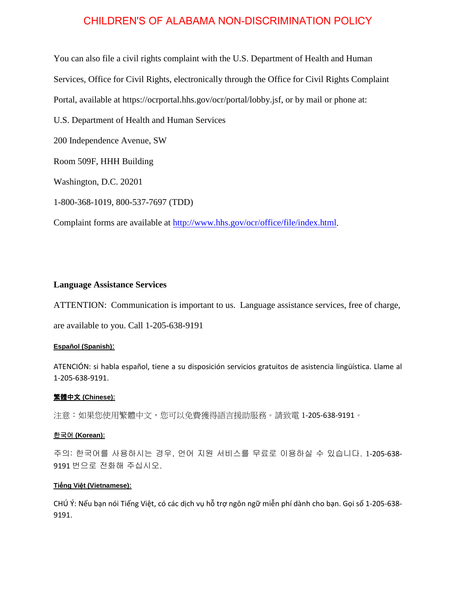You can also file a civil rights complaint with the U.S. Department of Health and Human Services, Office for Civil Rights, electronically through the Office for Civil Rights Complaint Portal, available at https://ocrportal.hhs.gov/ocr/portal/lobby.jsf, or by mail or phone at:

U.S. Department of Health and Human Services

200 Independence Avenue, SW

Room 509F, HHH Building

Washington, D.C. 20201

1-800-368-1019, 800-537-7697 (TDD)

Complaint forms are available at [http://www.hhs.gov/ocr/office/file/index.html.](http://www.hhs.gov/ocr/office/file/index.html)

## **Language Assistance Services**

ATTENTION: Communication is important to us. Language assistance services, free of charge,

are available to you. Call 1-205-638-9191

## **Español (Spanish)**:

ATENCIÓN: si habla español, tiene a su disposición servicios gratuitos de asistencia lingüística. Llame al 1-205-638-9191.

## 繁體中文 **(Chinese)**:

注意:如果您使用繁體中文,您可以免費獲得語言援助服務。請致電 1-205-638-9191。

## 한국어 **(Korean)**:

주의: 한국어를 사용하시는 경우, 언어 지원 서비스를 무료로 이용하실 수 있습니다. 1-205-638- 9191 번으로 전화해 주십시오.

#### **Tiếng Việt (Vietnamese)**:

CHÚ Ý: Nếu bạn nói Tiếng Việt, có các dịch vụ hỗ trợ ngôn ngữ miễn phí dành cho bạn. Gọi số 1-205-638- 9191.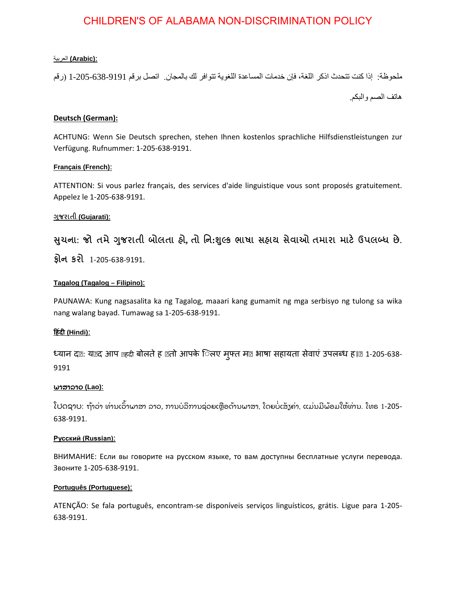### :**(Arabic (**العربیة

ملحوظة: إذا كنت تتحدث اذكر اللغة، فإن خدمات المساعدة اللغویة تتوافر لك بالمجان. اتصل برقم 1-205-638-9191 (رقم ھاتف الصم والبكم.

## **Deutsch (German):**

ACHTUNG: Wenn Sie Deutsch sprechen, stehen Ihnen kostenlos sprachliche Hilfsdienstleistungen zur Verfügung. Rufnummer: 1-205-638-9191.

#### **Français (French)**:

ATTENTION: Si vous parlez français, des services d'aide linguistique vous sont proposés gratuitement. Appelez le 1-205-638-9191.

## **�જરાતી ુ (Gujarati)**:

**�ચના ુ : જો તમે�જરાતી ુ બોલતા હો, તો િન:�લ્ક ભાષા ુ સહાય સેવાઓ તમારા માટ� ઉપલબ્ધ છે. ફોન કરો** 1-205-638-9191.

## **Tagalog (Tagalog – Filipino)**:

PAUNAWA: Kung nagsasalita ka ng Tagalog, maaari kang gumamit ng mga serbisyo ng tulong sa wika nang walang bayad. Tumawag sa 1-205-638-9191.

## **�हंद� (Hindi)**:

ध्यान दख: यख़द आप खहदी बोलते ह खतो आपके िलए मुफ्त मल्ल भाषा सहायता सेवाएं उपलब्ध ह। @1-205-638-9191

## ພາສາລາວ **(Lao)**:

ໂປດຊາບ: ຖ້າວ່າ ທ່ານເວົາພາສາ ລາວ, ການບໍລິການຊ່ວຍເຫຼືອດ້ານພາສາ, ໂດຍບໍ່ເສັງຄ່າ, ແມ່ນມີພ້ອມໃຫ້ທ່ານ. ໂທຣ 1-205-638-9191.

#### **Русский (Russian)**:

ВНИМАНИЕ: Если вы говорите на русском языке, то вам доступны бесплатные услуги перевода. Звоните 1-205-638-9191.

#### **Português (Portuguese)**:

ATENÇÃO: Se fala português, encontram-se disponíveis serviços linguísticos, grátis. Ligue para 1-205- 638-9191.